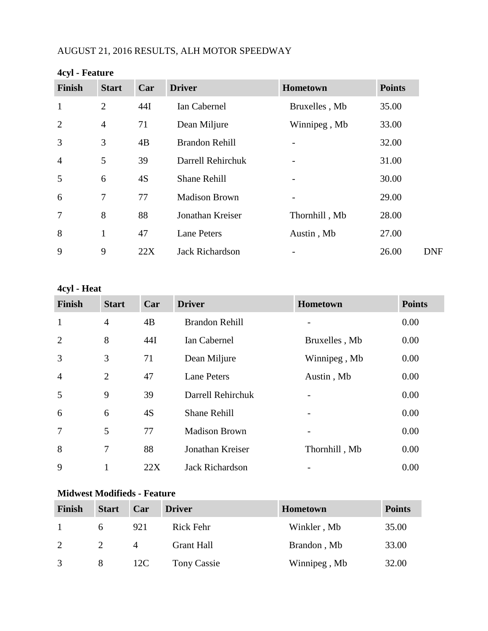# AUGUST 21, 2016 RESULTS, ALH MOTOR SPEEDWAY

| Finish         | <b>Start</b>   | Car | <b>Driver</b>          | Hometown      | <b>Points</b> |
|----------------|----------------|-----|------------------------|---------------|---------------|
| $\mathbf{1}$   | $\overline{2}$ | 44I | Ian Cabernel           | Bruxelles, Mb | 35.00         |
| $\overline{2}$ | $\overline{4}$ | 71  | Dean Miljure           | Winnipeg, Mb  | 33.00         |
| 3              | 3              | 4B  | <b>Brandon Rehill</b>  |               | 32.00         |
| $\overline{4}$ | 5              | 39  | Darrell Rehirchuk      |               | 31.00         |
| 5              | 6              | 4S  | <b>Shane Rehill</b>    |               | 30.00         |
| 6              | $\overline{7}$ | 77  | <b>Madison Brown</b>   |               | 29.00         |
| $\overline{7}$ | 8              | 88  | Jonathan Kreiser       | Thornhill, Mb | 28.00         |
| 8              | 1              | 47  | <b>Lane Peters</b>     | Austin, Mb    | 27.00         |
| 9              | 9              | 22X | <b>Jack Richardson</b> |               | 26.00         |

### **4cyl - Feature**

### **4cyl - Heat**

| <b>Finish</b>  | <b>Start</b>   | Car | <b>Driver</b>          | Hometown                 | <b>Points</b> |
|----------------|----------------|-----|------------------------|--------------------------|---------------|
| $\mathbf{1}$   | $\overline{4}$ | 4B  | <b>Brandon Rehill</b>  |                          | 0.00          |
| $\overline{2}$ | 8              | 44I | Ian Cabernel           | Bruxelles, Mb            | 0.00          |
| 3              | 3              | 71  | Dean Miljure           | Winnipeg, Mb             | 0.00          |
| $\overline{4}$ | $\overline{2}$ | 47  | <b>Lane Peters</b>     | Austin, Mb               | 0.00          |
| 5              | 9              | 39  | Darrell Rehirchuk      |                          | 0.00          |
| 6              | 6              | 4S  | <b>Shane Rehill</b>    | $\overline{\phantom{a}}$ | 0.00          |
| $\overline{7}$ | 5              | 77  | <b>Madison Brown</b>   |                          | 0.00          |
| 8              | 7              | 88  | Jonathan Kreiser       | Thornhill, Mb            | 0.00          |
| 9              | 1              | 22X | <b>Jack Richardson</b> |                          | 0.00          |

# **Midwest Modifieds - Feature**

| <b>Finish</b> | <b>Start</b> | Car | <b>Driver</b>     | <b>Hometown</b> | <b>Points</b> |
|---------------|--------------|-----|-------------------|-----------------|---------------|
|               |              | 921 | Rick Fehr         | Winkler, Mb     | 35.00         |
| 2             |              | 4   | <b>Grant Hall</b> | Brandon, Mb     | 33.00         |
| 3             | 8            | 12C | Tony Cassie       | Winnipeg, Mb    | 32.00         |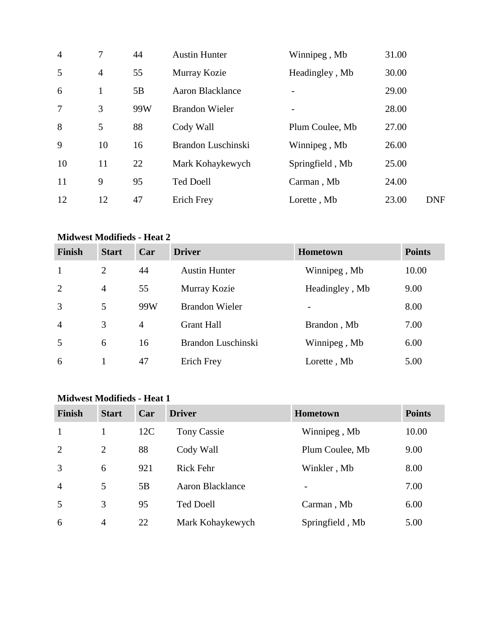| $\overline{4}$ | 7              | 44  | <b>Austin Hunter</b>    | Winnipeg, Mb             | 31.00 |            |
|----------------|----------------|-----|-------------------------|--------------------------|-------|------------|
| 5              | $\overline{4}$ | 55  | Murray Kozie            | Headingley, Mb           | 30.00 |            |
| 6              | 1              | 5B  | <b>Aaron Blacklance</b> |                          | 29.00 |            |
| $\overline{7}$ | 3              | 99W | <b>Brandon Wieler</b>   | $\overline{\phantom{a}}$ | 28.00 |            |
| 8              | 5              | 88  | Cody Wall               | Plum Coulee, Mb          | 27.00 |            |
| 9              | 10             | 16  | Brandon Luschinski      | Winnipeg, Mb             | 26.00 |            |
| 10             | 11             | 22  | Mark Kohaykewych        | Springfield, Mb          | 25.00 |            |
| 11             | 9              | 95  | <b>Ted Doell</b>        | Carman, Mb               | 24.00 |            |
| 12             | 12             | 47  | <b>Erich Frey</b>       | Lorette, Mb              | 23.00 | <b>DNF</b> |

#### **Midwest Modifieds - Heat 2**

| <b>Finish</b>  | <b>Start</b>   | Car | <b>Driver</b>         | <b>Hometown</b> | <b>Points</b> |
|----------------|----------------|-----|-----------------------|-----------------|---------------|
| $\mathbf{1}$   | 2              | 44  | <b>Austin Hunter</b>  | Winnipeg, Mb    | 10.00         |
| 2              | $\overline{4}$ | 55  | Murray Kozie          | Headingley, Mb  | 9.00          |
| 3              | 5              | 99W | <b>Brandon Wieler</b> |                 | 8.00          |
| $\overline{4}$ | 3              | 4   | <b>Grant Hall</b>     | Brandon, Mb     | 7.00          |
| 5              | 6              | 16  | Brandon Luschinski    | Winnipeg, Mb    | 6.00          |
| 6              |                | 47  | Erich Frey            | Lorette, Mb     | 5.00          |

#### **Midwest Modifieds - Heat 1**

| <b>Finish</b>  | <b>Start</b>   | Car | <b>Driver</b>      | Hometown                 | <b>Points</b> |
|----------------|----------------|-----|--------------------|--------------------------|---------------|
| $\mathbf{1}$   |                | 12C | <b>Tony Cassie</b> | Winnipeg, Mb             | 10.00         |
| 2              | $\overline{2}$ | 88  | Cody Wall          | Plum Coulee, Mb          | 9.00          |
| 3              | 6              | 921 | <b>Rick Fehr</b>   | Winkler, Mb              | 8.00          |
| $\overline{4}$ | 5              | 5B  | Aaron Blacklance   | $\overline{\phantom{a}}$ | 7.00          |
| 5              | 3              | 95  | <b>Ted Doell</b>   | Carman, Mb               | 6.00          |
| 6              | $\overline{4}$ | 22  | Mark Kohaykewych   | Springfield, Mb          | 5.00          |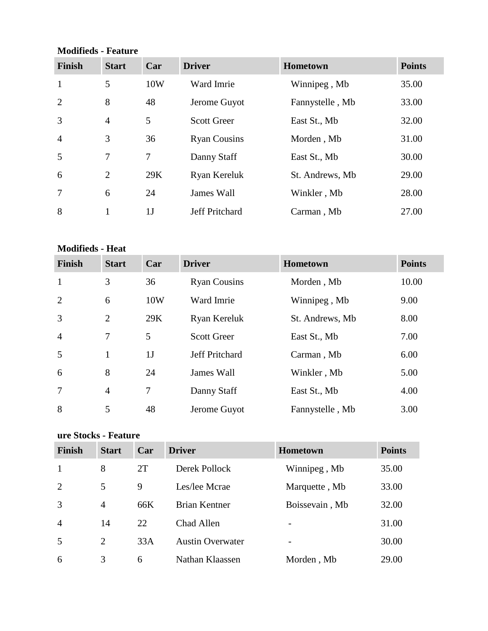## **Modifieds - Feature**

| <b>Finish</b>  | <b>Start</b>   | Car            | <b>Driver</b>         | Hometown        | <b>Points</b> |
|----------------|----------------|----------------|-----------------------|-----------------|---------------|
| $\mathbf{1}$   | 5              | 10W            | Ward Imrie            | Winnipeg, Mb    | 35.00         |
| 2              | 8              | 48             | Jerome Guyot          | Fannystelle, Mb | 33.00         |
| 3              | $\overline{4}$ | 5              | <b>Scott Greer</b>    | East St., Mb    | 32.00         |
| $\overline{4}$ | 3              | 36             | <b>Ryan Cousins</b>   | Morden, Mb      | 31.00         |
| 5              | 7              | $\overline{7}$ | Danny Staff           | East St., Mb    | 30.00         |
| 6              | $\overline{2}$ | 29K            | Ryan Kereluk          | St. Andrews, Mb | 29.00         |
|                | 6              | 24             | <b>James Wall</b>     | Winkler, Mb     | 28.00         |
| 8              | 1              | 1 <sub>J</sub> | <b>Jeff Pritchard</b> | Carman, Mb      | 27.00         |

#### **Modifieds - Heat**

| <b>Finish</b>  | <b>Start</b>   | Car            | <b>Driver</b>       | Hometown        | <b>Points</b> |
|----------------|----------------|----------------|---------------------|-----------------|---------------|
| $\mathbf{1}$   | 3              | 36             | <b>Ryan Cousins</b> | Morden, Mb      | 10.00         |
| 2              | 6              | 10W            | Ward Imrie          | Winnipeg, Mb    | 9.00          |
| $\overline{3}$ | $\overline{2}$ | 29K            | Ryan Kereluk        | St. Andrews, Mb | 8.00          |
| $\overline{4}$ | 7              | 5              | <b>Scott Greer</b>  | East St., Mb    | 7.00          |
| 5              | 1              | 1 <sub>J</sub> | Jeff Pritchard      | Carman, Mb      | 6.00          |
| 6              | 8              | 24             | James Wall          | Winkler, Mb     | 5.00          |
| $\overline{7}$ | $\overline{4}$ | 7              | Danny Staff         | East St., Mb    | 4.00          |
| 8              | 5              | 48             | Jerome Guyot        | Fannystelle, Mb | 3.00          |

# **ure Stocks - Feature**

| <b>Finish</b>  | <b>Start</b>   | Car | <b>Driver</b>           | <b>Hometown</b>          | <b>Points</b> |
|----------------|----------------|-----|-------------------------|--------------------------|---------------|
|                | 8              | 2T  | Derek Pollock           | Winnipeg, Mb             | 35.00         |
| 2              | 5              | 9   | Les/lee Mcrae           | Marquette, Mb            | 33.00         |
| 3              | 4              | 66K | Brian Kentner           | Boissevain, Mb           | 32.00         |
| $\overline{4}$ | 14             | 22  | Chad Allen              | $\overline{\phantom{0}}$ | 31.00         |
| 5              | $\overline{2}$ | 33A | <b>Austin Overwater</b> |                          | 30.00         |
| 6              | 3              | 6   | Nathan Klaassen         | Morden, Mb               | 29.00         |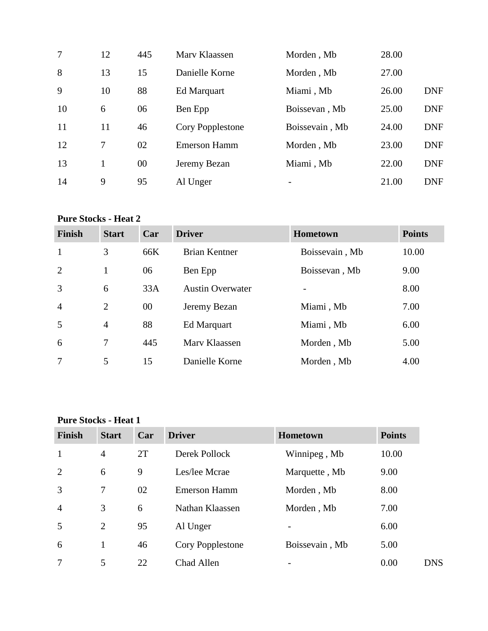| 7  | 12 | 445 | Mary Klaassen       | Morden, Mb               | 28.00 |            |
|----|----|-----|---------------------|--------------------------|-------|------------|
| 8  | 13 | 15  | Danielle Korne      | Morden, Mb               | 27.00 |            |
| 9  | 10 | 88  | Ed Marquart         | Miami, Mb                | 26.00 | <b>DNF</b> |
| 10 | 6  | 06  | Ben Epp             | Boissevan, Mb            | 25.00 | <b>DNF</b> |
| 11 | 11 | 46  | Cory Popplestone    | Boissevain, Mb           | 24.00 | <b>DNF</b> |
| 12 | 7  | 02  | <b>Emerson Hamm</b> | Morden, Mb               | 23.00 | <b>DNF</b> |
| 13 | 1  | 00  | Jeremy Bezan        | Miami, Mb                | 22.00 | <b>DNF</b> |
| 14 | 9  | 95  | Al Unger            | $\overline{\phantom{0}}$ | 21.00 | <b>DNF</b> |

# **Pure Stocks - Heat 2**

| <b>Finish</b>  | <b>Start</b>   | Car | <b>Driver</b>           | <b>Hometown</b> | <b>Points</b> |
|----------------|----------------|-----|-------------------------|-----------------|---------------|
| $\mathbf{1}$   | 3              | 66K | <b>Brian Kentner</b>    | Boissevain, Mb  | 10.00         |
| 2              | 1              | 06  | Ben Epp                 | Boissevan, Mb   | 9.00          |
| 3              | 6              | 33A | <b>Austin Overwater</b> |                 | 8.00          |
| $\overline{4}$ | 2              | 00  | Jeremy Bezan            | Miami, Mb       | 7.00          |
| 5              | $\overline{4}$ | 88  | Ed Marquart             | Miami, Mb       | 6.00          |
| 6              | 7              | 445 | Mary Klaassen           | Morden, Mb      | 5.00          |
| $\overline{7}$ | 5              | 15  | Danielle Korne          | Morden, Mb      | 4.00          |

#### **Pure Stocks - Heat 1**

| <b>Finish</b>  | <b>Start</b>   | Car | <b>Driver</b>       | <b>Hometown</b> | <b>Points</b> |
|----------------|----------------|-----|---------------------|-----------------|---------------|
| $\mathbf{1}$   | $\overline{4}$ | 2T  | Derek Pollock       | Winnipeg, Mb    | 10.00         |
| 2              | 6              | 9   | Les/lee Mcrae       | Marquette, Mb   | 9.00          |
| 3              | 7              | 02  | <b>Emerson Hamm</b> | Morden, Mb      | 8.00          |
| $\overline{4}$ | 3              | 6   | Nathan Klaassen     | Morden, Mb      | 7.00          |
| 5              | 2              | 95  | Al Unger            |                 | 6.00          |
| 6              |                | 46  | Cory Popplestone    | Boissevain, Mb  | 5.00          |
| 7              | 5              | 22  | Chad Allen          |                 | 0.00          |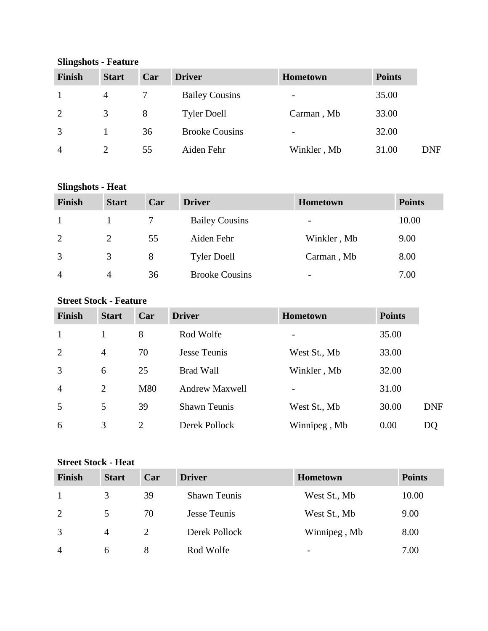| <b>Finish</b>  | <b>Start</b> | Car | <b>Driver</b>         | Hometown                     | <b>Points</b> |            |  |
|----------------|--------------|-----|-----------------------|------------------------------|---------------|------------|--|
|                | 4            |     | <b>Bailey Cousins</b> | -                            | 35.00         |            |  |
| 2              | 3            | 8   | <b>Tyler Doell</b>    | Carman, Mb                   | 33.00         |            |  |
| 3              |              | 36  | <b>Brooke Cousins</b> | $\qquad \qquad \blacksquare$ | 32.00         |            |  |
| $\overline{4}$ |              | 55  | Aiden Fehr            | Winkler, Mb                  | 31.00         | <b>DNF</b> |  |

#### **Slingshots - Feature**

### **Slingshots - Heat**

| Finish         | <b>Start</b> | Car | <b>Driver</b>         | <b>Hometown</b>          | <b>Points</b> |
|----------------|--------------|-----|-----------------------|--------------------------|---------------|
|                |              |     | <b>Bailey Cousins</b> | $\overline{\phantom{a}}$ | 10.00         |
| 2              | 2            | 55  | Aiden Fehr            | Winkler, Mb              | 9.00          |
| 3              | 3            | 8   | <b>Tyler Doell</b>    | Carman, Mb               | 8.00          |
| $\overline{4}$ | 4            | 36  | <b>Brooke Cousins</b> | $\overline{\phantom{0}}$ | 7.00          |

## **Street Stock - Feature**

| <b>Finish</b>  | <b>Start</b>   | Car            | <b>Driver</b>         | <b>Hometown</b> | <b>Points</b> |            |
|----------------|----------------|----------------|-----------------------|-----------------|---------------|------------|
| $\mathbf{1}$   |                | 8              | Rod Wolfe             |                 | 35.00         |            |
| 2              | $\overline{4}$ | 70             | Jesse Teunis          | West St., Mb    | 33.00         |            |
| 3              | 6              | 25             | <b>Brad Wall</b>      | Winkler, Mb     | 32.00         |            |
| $\overline{4}$ | 2              | M80            | <b>Andrew Maxwell</b> |                 | 31.00         |            |
| 5              | 5              | 39             | <b>Shawn Teunis</b>   | West St., Mb    | 30.00         | <b>DNF</b> |
| 6              | 3              | $\overline{2}$ | Derek Pollock         | Winnipeg, Mb    | 0.00          | DQ         |

# **Street Stock - Heat**

| Finish         | <b>Start</b>   | Car | <b>Driver</b>       | <b>Hometown</b>          | <b>Points</b> |
|----------------|----------------|-----|---------------------|--------------------------|---------------|
| $\overline{1}$ | 3              | 39  | <b>Shawn Teunis</b> | West St., Mb             | 10.00         |
| 2              | 5              | 70  | <b>Jesse Teunis</b> | West St., Mb             | 9.00          |
| 3              | $\overline{A}$ |     | Derek Pollock       | Winnipeg, Mb             | 8.00          |
| $\overline{4}$ | 6              | 8   | Rod Wolfe           | $\overline{\phantom{0}}$ | 7.00          |